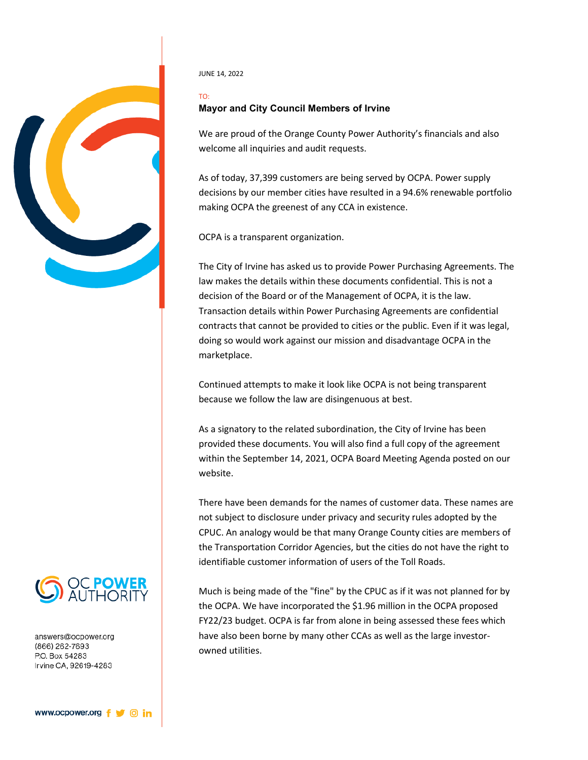

JUNE 14, 2022

## TO: **Mayor and City Council Members of Irvine**

We are proud of the Orange County Power Authority's financials and also welcome all inquiries and audit requests.

As of today, 37,399 customers are being served by OCPA. Power supply decisions by our member cities have resulted in a 94.6% renewable portfolio making OCPA the greenest of any CCA in existence.

OCPA is a transparent organization.

The City of Irvine has asked us to provide Power Purchasing Agreements. The law makes the details within these documents confidential. This is not a decision of the Board or of the Management of OCPA, it is the law. Transaction details within Power Purchasing Agreements are confidential contracts that cannot be provided to cities or the public. Even if it was legal, doing so would work against our mission and disadvantage OCPA in the marketplace.

Continued attempts to make it look like OCPA is not being transparent because we follow the law are disingenuous at best.

As a signatory to the related subordination, the City of Irvine has been provided these documents. You will also find a full copy of the agreement within the September 14, 2021, OCPA Board Meeting Agenda posted on our website.

There have been demands for the names of customer data. These names are not subject to disclosure under privacy and security rules adopted by the CPUC. An analogy would be that many Orange County cities are members of the Transportation Corridor Agencies, but the cities do not have the right to identifiable customer information of users of the Toll Roads.

Much is being made of the "fine" by the CPUC as if it was not planned for by the OCPA. We have incorporated the \$1.96 million in the OCPA proposed FY22/23 budget. OCPA is far from alone in being assessed these fees which have also been borne by many other CCAs as well as the large investorowned utilities.



answers@ocpower.org (866) 262-7693 P.O. Box 54283 Irvine CA, 92619-4283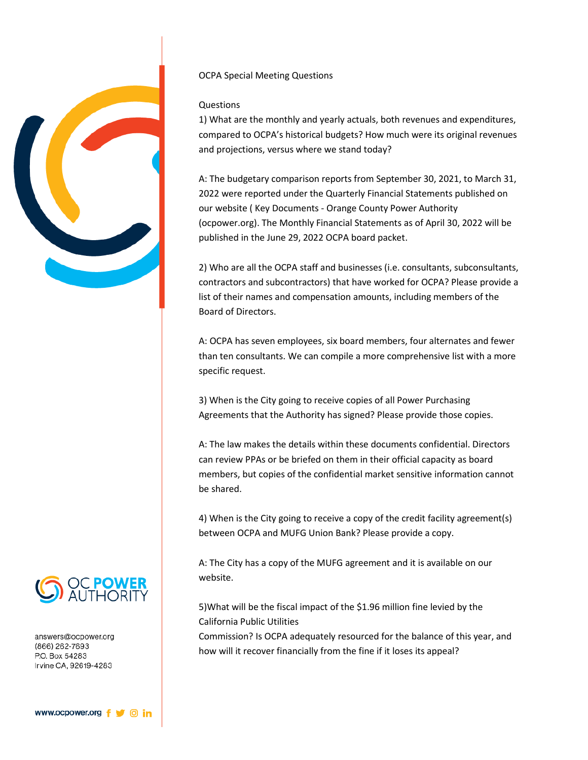

## OCPA Special Meeting Questions

## Questions

1) What are the monthly and yearly actuals, both revenues and expenditures, compared to OCPA's historical budgets? How much were its original revenues and projections, versus where we stand today?

A: The budgetary comparison reports from September 30, 2021, to March 31, 2022 were reported under the Quarterly Financial Statements published on our website ( Key Documents - Orange County Power Authority (ocpower.org). The Monthly Financial Statements as of April 30, 2022 will be published in the June 29, 2022 OCPA board packet.

2) Who are all the OCPA staff and businesses (i.e. consultants, subconsultants, contractors and subcontractors) that have worked for OCPA? Please provide a list of their names and compensation amounts, including members of the Board of Directors.

A: OCPA has seven employees, six board members, four alternates and fewer than ten consultants. We can compile a more comprehensive list with a more specific request.

3) When is the City going to receive copies of all Power Purchasing Agreements that the Authority has signed? Please provide those copies.

A: The law makes the details within these documents confidential. Directors can review PPAs or be briefed on them in their official capacity as board members, but copies of the confidential market sensitive information cannot be shared.

4) When is the City going to receive a copy of the credit facility agreement(s) between OCPA and MUFG Union Bank? Please provide a copy.

A: The City has a copy of the MUFG agreement and it is available on our website.

5)What will be the fiscal impact of the \$1.96 million fine levied by the California Public Utilities

Commission? Is OCPA adequately resourced for the balance of this year, and how will it recover financially from the fine if it loses its appeal?



answers@ocpower.org (866) 262-7693 P.O. Box 54283 Irvine CA, 92619-4283